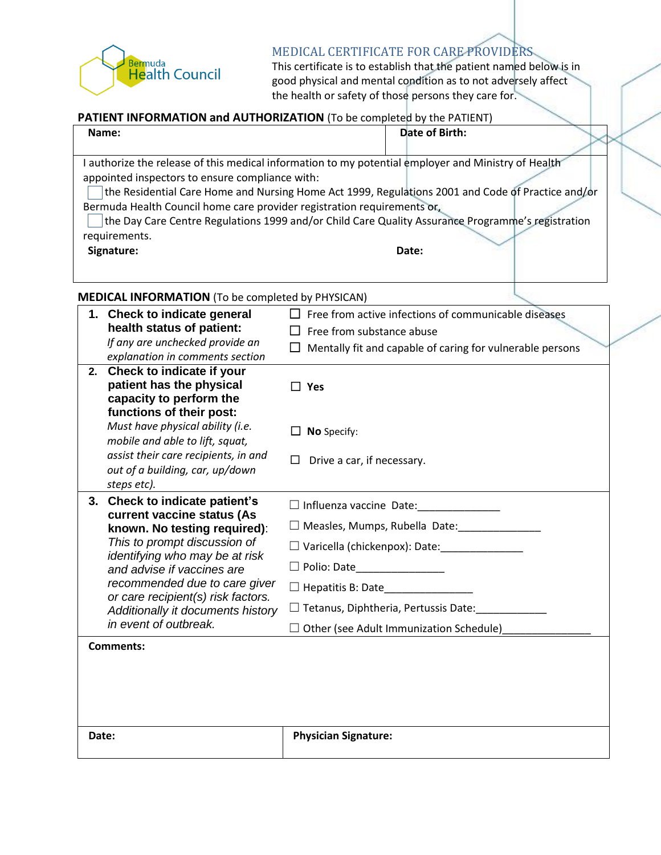## Bermuda<br>Health Council

## MEDICAL CERTIFICATE FOR CARE PROVIDERS

This certificate is to establish that the patient named below is in good physical and mental condition as to not adversely affect the health or safety of those persons they care for.

## **PATIENT INFORMATION and AUTHORIZATION** (To be completed by the PATIENT)

| Name:                                                                                                                                                                                                                                                                                              | Date of Birth: |  |
|----------------------------------------------------------------------------------------------------------------------------------------------------------------------------------------------------------------------------------------------------------------------------------------------------|----------------|--|
| authorize the release of this medical information to my potential employer and Ministry of Health<br>appointed inspectors to ensure compliance with:                                                                                                                                               |                |  |
| the Residential Care Home and Nursing Home Act 1999, Regulations 2001 and Code of Practice and/or<br>Bermuda Health Council home care provider registration requirements or,<br>the Day Care Centre Regulations 1999 and/or Child Care Quality Assurance Programme's registration<br>requirements. |                |  |
| Signature:<br>$MENICAL INECODMATIONI (To be completed by DUCICANI)$                                                                                                                                                                                                                                | Date:          |  |

**MEDICAL INFORMATION** (To be completed by PHYSICAN)

| 1. Check to indicate general<br>health status of patient:<br>If any are unchecked provide an<br>explanation in comments section<br>2. Check to indicate if your                                                                                                                                                                             | Free from active infections of communicable diseases<br>Free from substance abuse<br>Mentally fit and capable of caring for vulnerable persons                                                                                                                    |
|---------------------------------------------------------------------------------------------------------------------------------------------------------------------------------------------------------------------------------------------------------------------------------------------------------------------------------------------|-------------------------------------------------------------------------------------------------------------------------------------------------------------------------------------------------------------------------------------------------------------------|
| patient has the physical<br>capacity to perform the<br>functions of their post:<br>Must have physical ability (i.e.<br>mobile and able to lift, squat,<br>assist their care recipients, in and<br>out of a building, car, up/down<br>steps etc).                                                                                            | $\square$ Yes<br>No Specify:<br>Drive a car, if necessary.<br>$\Box$                                                                                                                                                                                              |
| <b>Check to indicate patient's</b><br>3.<br>current vaccine status (As<br>known. No testing required):<br>This to prompt discussion of<br>identifying who may be at risk<br>and advise if vaccines are<br>recommended due to care giver<br>or care recipient(s) risk factors.<br>Additionally it documents history<br>in event of outbreak. | $\Box$ Influenza vaccine Date:<br>$\Box$ Measles, Mumps, Rubella Date:<br>$\Box$ Varicella (chickenpox): Date:<br>$\Box$ Polio: Date<br>$\Box$ Hepatitis B: Date<br>$\Box$ Tetanus, Diphtheria, Pertussis Date:<br>$\Box$ Other (see Adult Immunization Schedule) |
| <b>Comments:</b><br>Date:                                                                                                                                                                                                                                                                                                                   | <b>Physician Signature:</b>                                                                                                                                                                                                                                       |